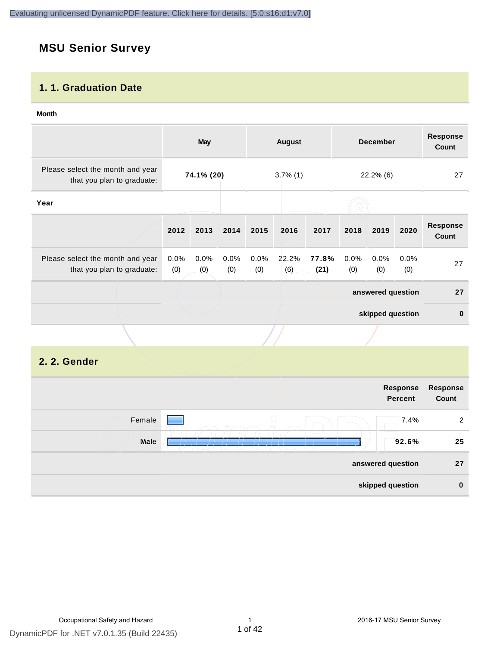# **MSU Senior Survey**

### **1. 1. Graduation Date**

#### **Month**

|                                                                |             | <b>May</b>  |             |                   | <b>August</b><br><b>December</b> |               | <b>Response</b><br><b>Count</b> |             |                            |                          |
|----------------------------------------------------------------|-------------|-------------|-------------|-------------------|----------------------------------|---------------|---------------------------------|-------------|----------------------------|--------------------------|
| Please select the month and year<br>that you plan to graduate: |             | 74.1% (20)  |             |                   | $3.7\%$ (1)                      |               |                                 | 22.2% (6)   |                            | 27                       |
| Year                                                           |             |             |             |                   |                                  |               |                                 |             |                            |                          |
|                                                                | 2012        | 2013        | 2014        | 2015              | 2016                             | 2017          | 2018                            | 2019        | 2020                       | <b>Response</b><br>Count |
| Please select the month and year<br>that you plan to graduate: | 0.0%<br>(0) | 0.0%<br>(0) | 0.0%<br>(0) | 0.0%<br>(0)       | 22.2%<br>(6)                     | 77.8%<br>(21) | 0.0%<br>(0)                     | 0.0%<br>(0) | 0.0%<br>(0)                | 27                       |
|                                                                |             |             |             |                   |                                  |               | answered question               |             | 27                         |                          |
|                                                                |             |             |             |                   |                                  |               | skipped question                |             | $\pmb{0}$                  |                          |
|                                                                |             |             |             |                   |                                  |               |                                 |             |                            |                          |
| 2. 2. Gender                                                   |             |             |             |                   |                                  |               |                                 |             |                            |                          |
|                                                                |             |             |             |                   |                                  |               |                                 |             | Response<br><b>Percent</b> | Response<br>Count        |
| Female                                                         |             |             |             |                   | $\bigcirc$                       |               |                                 |             | 7.4%                       | $\sqrt{2}$               |
| Male                                                           |             |             |             |                   |                                  |               |                                 |             | 92.6%                      | 25                       |
|                                                                |             |             |             | answered question |                                  |               |                                 | 27          |                            |                          |
|                                                                |             |             |             | skipped question  |                                  | $\pmb{0}$     |                                 |             |                            |                          |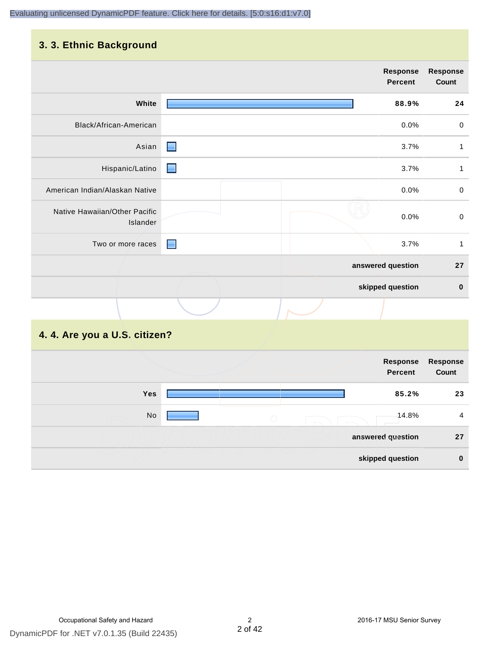## **3. 3. Ethnic Background**

|                                           | <b>Response</b><br>Percent | <b>Response</b><br>Count |
|-------------------------------------------|----------------------------|--------------------------|
| White                                     | 88.9%                      | 24                       |
| Black/African-American                    | 0.0%                       | $\pmb{0}$                |
| Asian                                     | е<br>3.7%                  | 1                        |
| Hispanic/Latino                           | 3.7%<br>E                  | $\mathbf{1}$             |
| American Indian/Alaskan Native            | 0.0%                       | 0                        |
| Native Hawaiian/Other Pacific<br>Islander | 0.0%                       | $\mathsf 0$              |
| Two or more races                         | 3.7%<br>▀                  | $\mathbf{1}$             |
|                                           | answered question          | 27                       |
|                                           | skipped question           | $\bf{0}$                 |
|                                           |                            |                          |

# **4. 4. Are you a U.S. citizen?**

| Response<br>Count | Response<br><b>Percent</b> |  |                                             |  |            |  |
|-------------------|----------------------------|--|---------------------------------------------|--|------------|--|
| 23                | 85.2%                      |  |                                             |  | <b>Yes</b> |  |
| 4                 | -14.8%                     |  | $\left(\begin{array}{c} \end{array}\right)$ |  | No         |  |
| 27                | answered question          |  |                                             |  |            |  |
| $\bf{0}$          | skipped question           |  |                                             |  |            |  |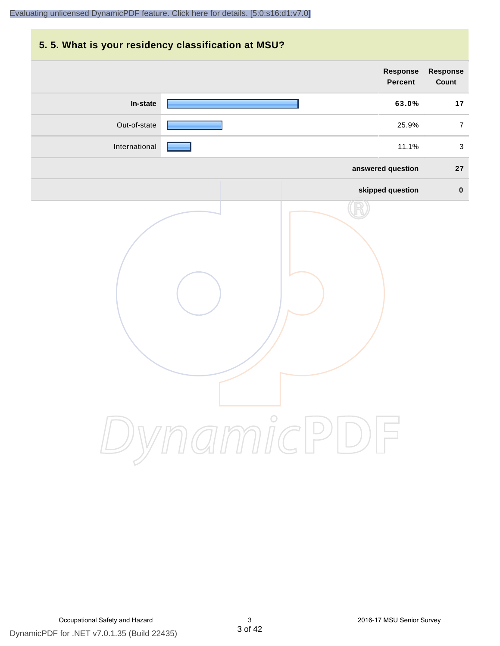# **5. 5. What is your residency classification at MSU? Response Response Percent Count In-state 63.0% 17** Out-of-state **25.9%** 7 International **Products and Security 2012** and 2011 and 30 and 31.1% 3 **answered question 27 skipped question 0** DynamicPDF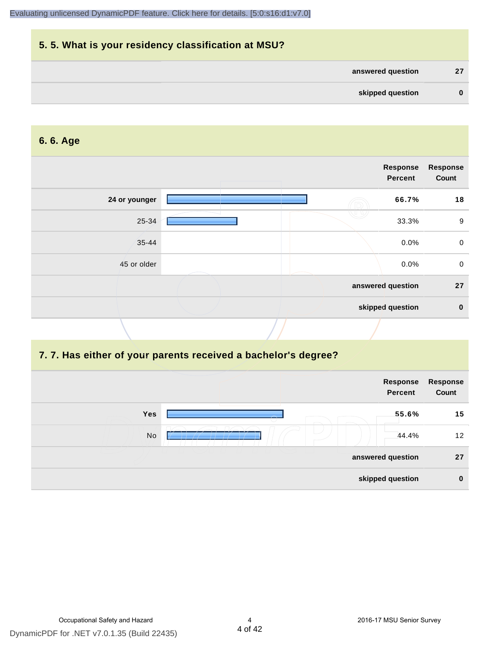| 5.5. What is your residency classification at MSU? |              |
|----------------------------------------------------|--------------|
| answered question                                  | 27           |
| skipped question                                   | $\mathbf{0}$ |

#### **6. 6. Age**

|               | <b>Response</b><br><b>Percent</b> | <b>Response</b><br>Count |
|---------------|-----------------------------------|--------------------------|
| 24 or younger | 66.7%                             | 18                       |
| 25-34         | 33.3%                             | $9\,$                    |
| $35 - 44$     | $0.0\%$                           | $\mathbf 0$              |
| 45 or older   | $0.0\%$                           | $\mathbf 0$              |
|               | answered question                 | 27                       |
|               | skipped question                  | $\mathbf 0$              |

#### **7. 7. Has either of your parents received a bachelor's degree?**

|            | Response<br><b>Percent</b> | Response<br>Count |
|------------|----------------------------|-------------------|
| <b>Yes</b> | 55.6%                      | 15                |
| No         | 44.4%                      | 12 <sup>2</sup>   |
|            | answered question          | 27                |
|            | skipped question           | $\bf{0}$          |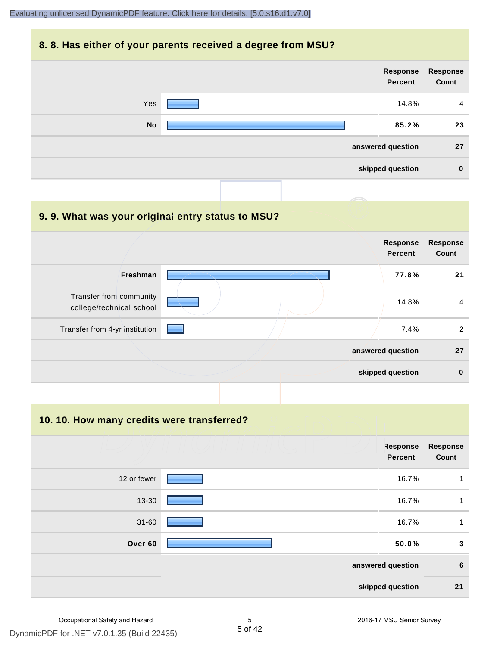#### **8. 8. Has either of your parents received a degree from MSU?**



| 9.9. What was your original entry status to MSU?    |                                   |                          |
|-----------------------------------------------------|-----------------------------------|--------------------------|
|                                                     | <b>Response</b><br><b>Percent</b> | <b>Response</b><br>Count |
| <b>Freshman</b>                                     | 77.8%                             | 21                       |
| Transfer from community<br>college/technical school | 14.8%                             | 4                        |
| Transfer from 4-yr institution                      | 7.4%                              | 2                        |
|                                                     | answered question                 | 27                       |
|                                                     | skipped question                  | $\bf{0}$                 |

**10. 10. How many credits were transferred?**

|             | Response<br><b>Percent</b> | <b>Response</b><br>Count |
|-------------|----------------------------|--------------------------|
| 12 or fewer | 16.7%                      | 1                        |
| 13-30       | 16.7%                      | 1                        |
| $31 - 60$   | 16.7%                      | 1                        |
| Over 60     | 50.0%                      | 3                        |
|             | answered question          | $\boldsymbol{6}$         |
|             | skipped question           | 21                       |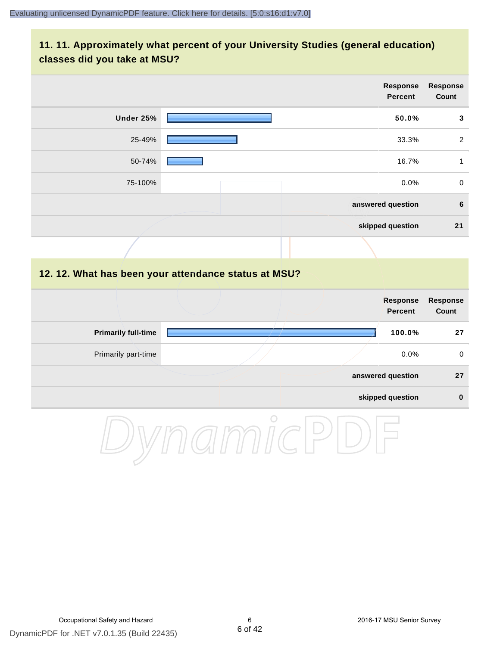### **11. 11. Approximately what percent of your University Studies (general education) classes did you take at MSU?**

|                            | <b>Response</b><br><b>Percent</b>                    | <b>Response</b><br>Count |
|----------------------------|------------------------------------------------------|--------------------------|
| Under 25%                  | 50.0%                                                | 3                        |
| 25-49%                     | 33.3%                                                | $\overline{2}$           |
| 50-74%                     | 16.7%                                                | $\mathbf{1}$             |
| 75-100%                    | 0.0%                                                 | $\mathbf 0$              |
|                            | answered question                                    | $\bf 6$                  |
|                            | skipped question                                     | 21                       |
|                            |                                                      |                          |
|                            | 12. 12. What has been your attendance status at MSU? |                          |
|                            | <b>Response</b><br><b>Percent</b>                    | <b>Response</b><br>Count |
| <b>Primarily full-time</b> | 100.0%                                               | 27                       |
| Primarily part-time        | 0.0%                                                 | $\mathbf 0$              |
|                            | answered question                                    | 27                       |

#### **skipped question 0**

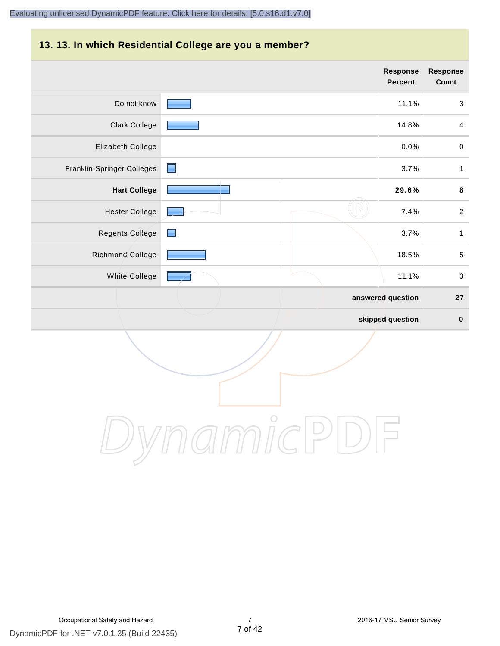#### **13. 13. In which Residential College are you a member?**

|                            |                | <b>Response</b><br><b>Percent</b> | <b>Response</b><br>Count |
|----------------------------|----------------|-----------------------------------|--------------------------|
| Do not know                |                | 11.1%                             | 3                        |
| Clark College              |                | 14.8%                             | $\overline{4}$           |
| Elizabeth College          |                | 0.0%                              | $\mathbf 0$              |
| Franklin-Springer Colleges | <u>e</u>       | 3.7%                              | $\mathbf{1}$             |
| <b>Hart College</b>        |                | 29.6%                             | $\bf8$                   |
| <b>Hester College</b>      |                | 7.4%                              | $\overline{2}$           |
| Regents College            | <b>Reserve</b> | 3.7%                              | $\mathbf{1}$             |
| <b>Richmond College</b>    |                | 18.5%                             | $\sqrt{5}$               |
| White College              |                | 11.1%                             | $\sqrt{3}$               |
|                            |                | answered question                 | 27                       |
|                            |                | skipped question                  | $\pmb{0}$                |

DynamicPDF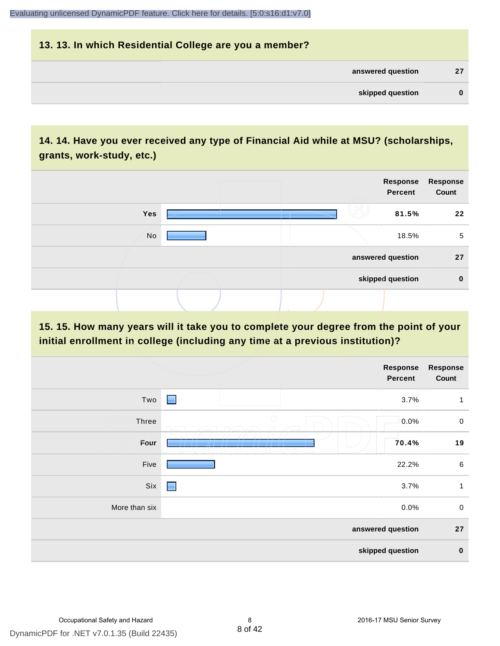# **13. 13. In which Residential College are you a member? answered question 27 skipped question 0**

# **14. 14. Have you ever received any type of Financial Aid while at MSU? (scholarships, grants, work-study, etc.)**



## **15. 15. How many years will it take you to complete your degree from the point of your initial enrollment in college (including any time at a previous institution)?**

|                   | <b>Response</b><br>Percent | <b>Response</b><br>Count |  |  |
|-------------------|----------------------------|--------------------------|--|--|
| Two               | $\blacksquare$<br>3.7%     | $\mathbf{1}$             |  |  |
| Three             | $\bigcirc$<br>0.0%         | $\mathbf 0$              |  |  |
| Four              | 70.4%                      | 19                       |  |  |
| Five              | 22.2%                      | 6                        |  |  |
| Six               | 3.7%<br>-                  | 1                        |  |  |
| More than six     | 0.0%                       | $\pmb{0}$                |  |  |
| answered question |                            |                          |  |  |
| skipped question  |                            |                          |  |  |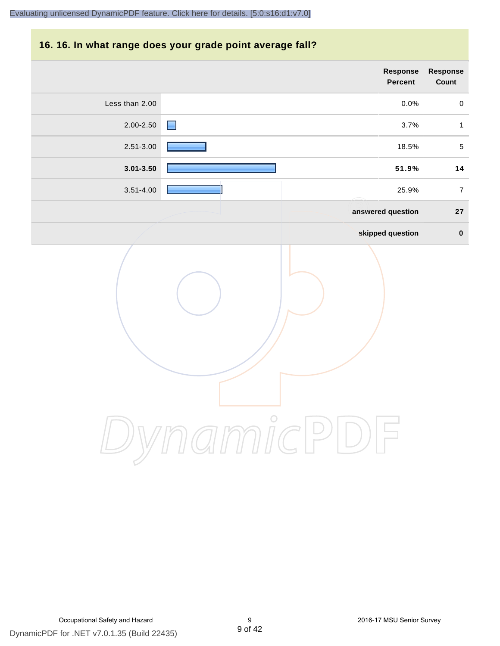### **16. 16. In what range does your grade point average fall?**

| Response<br>Count | Response<br>Percent |                                      |                |
|-------------------|---------------------|--------------------------------------|----------------|
| $\pmb{0}$         | 0.0%                |                                      | Less than 2.00 |
| $\mathbf{1}$      | 3.7%                | ■                                    | 2.00-2.50      |
| $\sqrt{5}$        | 18.5%               |                                      | 2.51-3.00      |
| 14                | 51.9%               |                                      | $3.01 - 3.50$  |
| $\overline{7}$    | 25.9%               |                                      | $3.51 - 4.00$  |
| ${\bf 27}$        | answered question   |                                      |                |
| $\pmb{0}$         | skipped question    |                                      |                |
|                   |                     | $\int_{1}^{0}$<br>$\curvearrowright$ |                |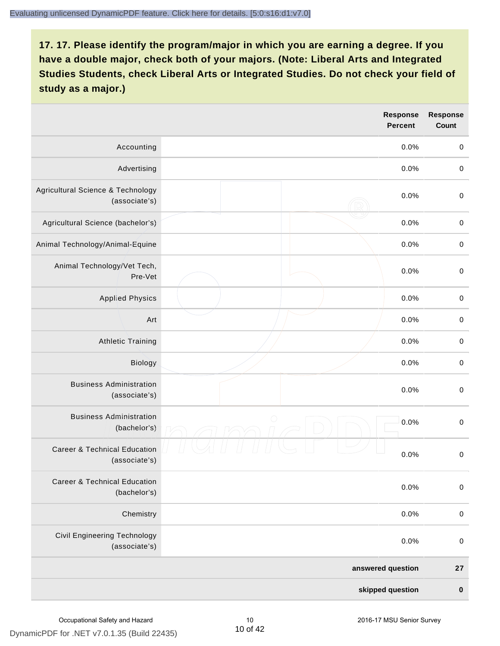|                                                          | Response<br><b>Percent</b> | <b>Response</b><br>Count |
|----------------------------------------------------------|----------------------------|--------------------------|
| Accounting                                               | 0.0%                       | $\mathbf 0$              |
| Advertising                                              | 0.0%                       | $\mbox{O}$               |
| Agricultural Science & Technology<br>(associate's)       | 0.0%                       | $\mbox{O}$               |
| Agricultural Science (bachelor's)                        | 0.0%                       | $\mathbf 0$              |
| Animal Technology/Animal-Equine                          | 0.0%                       | $\mathbf 0$              |
| Animal Technology/Vet Tech,<br>Pre-Vet                   | 0.0%                       | $\mathbf 0$              |
| <b>Applied Physics</b>                                   | 0.0%                       | $\pmb{0}$                |
| Art                                                      | 0.0%                       | $\mathbf 0$              |
| <b>Athletic Training</b>                                 | 0.0%                       | $\mathbf 0$              |
| Biology                                                  | 0.0%                       | $\mbox{O}$               |
| <b>Business Administration</b><br>(associate's)          | 0.0%                       | $\,0\,$                  |
| <b>Business Administration</b><br>(bachelor's)           | 0<br>0.0%                  | $\mbox{O}$               |
| <b>Career &amp; Technical Education</b><br>(associate's) | 0.0%                       | $\mathbf 0$              |
| <b>Career &amp; Technical Education</b><br>(bachelor's)  | 0.0%                       | $\mathbf 0$              |
| Chemistry                                                | 0.0%                       | $\mathbf 0$              |
| Civil Engineering Technology<br>(associate's)            | 0.0%                       | $\boldsymbol{0}$         |
|                                                          | answered question          | 27                       |
|                                                          | skipped question           | $\pmb{0}$                |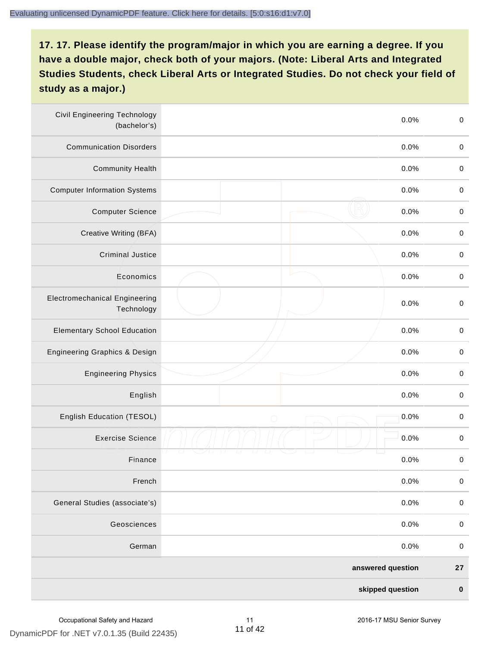| <b>Civil Engineering Technology</b><br>(bachelor's) | 0.0%               | $\mathbf 0$ |
|-----------------------------------------------------|--------------------|-------------|
| <b>Communication Disorders</b>                      | 0.0%               | $\mathbf 0$ |
| <b>Community Health</b>                             | 0.0%               | $\mathbf 0$ |
| <b>Computer Information Systems</b>                 | 0.0%               | $\pmb{0}$   |
| <b>Computer Science</b>                             | 0.0%               | $\mathbf 0$ |
| Creative Writing (BFA)                              | 0.0%               | $\mathbf 0$ |
| <b>Criminal Justice</b>                             | 0.0%               | $\mathbf 0$ |
| Economics                                           | 0.0%               | $\mathbf 0$ |
| <b>Electromechanical Engineering</b><br>Technology  | 0.0%               | $\mathbf 0$ |
| <b>Elementary School Education</b>                  | 0.0%               | $\mathbf 0$ |
| Engineering Graphics & Design                       | 0.0%               | $\mathbf 0$ |
| <b>Engineering Physics</b>                          | 0.0%               | $\mathbf 0$ |
| English                                             | 0.0%               | $\mathbf 0$ |
| English Education (TESOL)                           | 0.0%<br>$\bigcirc$ | $\pmb{0}$   |
| <b>Exercise Science</b>                             | 0.0%               | $\pmb{0}$   |
| Finance                                             | 0.0%               | $\pmb{0}$   |
| French                                              | 0.0%               | $\pmb{0}$   |
| General Studies (associate's)                       | 0.0%               | $\mathbf 0$ |
| Geosciences                                         | 0.0%               | $\pmb{0}$   |
| German                                              | 0.0%               | $\mathbf 0$ |
|                                                     | answered question  | ${\bf 27}$  |
|                                                     | skipped question   | $\pmb{0}$   |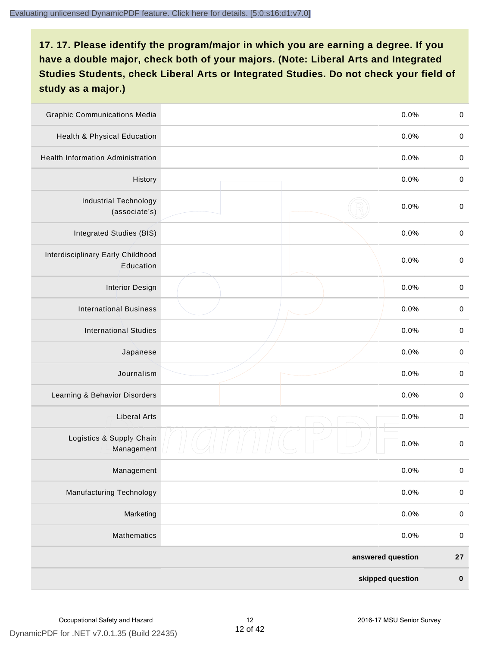| <b>Graphic Communications Media</b>            |                   | 0.0% | $\mathbf 0$ |
|------------------------------------------------|-------------------|------|-------------|
| Health & Physical Education                    |                   | 0.0% | $\mathbf 0$ |
| <b>Health Information Administration</b>       |                   | 0.0% | $\pmb{0}$   |
| History                                        |                   | 0.0% | $\pmb{0}$   |
| <b>Industrial Technology</b><br>(associate's)  |                   | 0.0% | $\mathbf 0$ |
| Integrated Studies (BIS)                       |                   | 0.0% | $\mathbf 0$ |
| Interdisciplinary Early Childhood<br>Education |                   | 0.0% | $\mathbf 0$ |
| <b>Interior Design</b>                         |                   | 0.0% | $\pmb{0}$   |
| <b>International Business</b>                  |                   | 0.0% | $\mathbf 0$ |
| <b>International Studies</b>                   |                   | 0.0% | $\,0\,$     |
| Japanese                                       |                   | 0.0% | $\pmb{0}$   |
| Journalism                                     |                   | 0.0% | $\pmb{0}$   |
| Learning & Behavior Disorders                  |                   | 0.0% | $\pmb{0}$   |
| <b>Liberal Arts</b>                            | $\bigcirc$        | 0.0% | $\pmb{0}$   |
| Logistics & Supply Chain<br>Management         |                   | 0.0% | $\pmb{0}$   |
| Management                                     |                   | 0.0% | $\pmb{0}$   |
| <b>Manufacturing Technology</b>                |                   | 0.0% | $\mathbf 0$ |
| Marketing                                      |                   | 0.0% | $\mathbf 0$ |
| Mathematics                                    |                   | 0.0% | $\,0\,$     |
|                                                | answered question |      | ${\bf 27}$  |
|                                                | skipped question  |      | $\pmb{0}$   |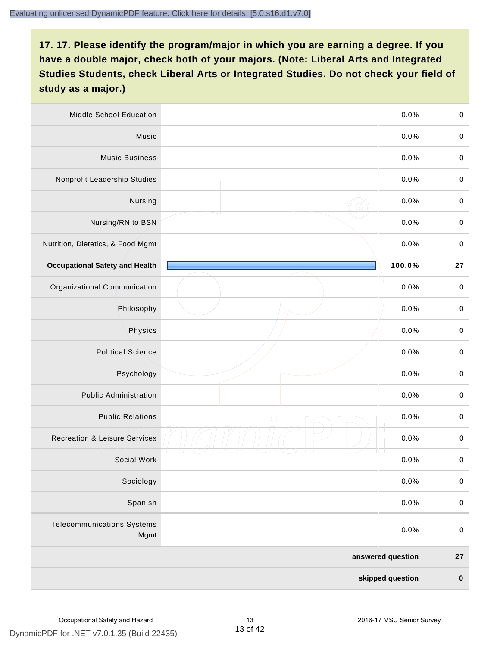| <b>Middle School Education</b>            |                   | 0.0%   | $\,0\,$     |
|-------------------------------------------|-------------------|--------|-------------|
| Music                                     |                   | 0.0%   | $\pmb{0}$   |
| <b>Music Business</b>                     |                   | 0.0%   | $\mathbf 0$ |
| Nonprofit Leadership Studies              |                   | 0.0%   | $\pmb{0}$   |
| Nursing                                   |                   | 0.0%   | $\pmb{0}$   |
| Nursing/RN to BSN                         |                   | 0.0%   | $\,0\,$     |
| Nutrition, Dietetics, & Food Mgmt         |                   | 0.0%   | $\pmb{0}$   |
| <b>Occupational Safety and Health</b>     |                   | 100.0% | 27          |
| Organizational Communication              |                   | 0.0%   | $\pmb{0}$   |
| Philosophy                                |                   | 0.0%   | $\pmb{0}$   |
| Physics                                   |                   | 0.0%   | $\pmb{0}$   |
| <b>Political Science</b>                  |                   | 0.0%   | $\pmb{0}$   |
| Psychology                                |                   | 0.0%   | $\mathbf 0$ |
| <b>Public Administration</b>              |                   | 0.0%   | $\pmb{0}$   |
| <b>Public Relations</b>                   | $\bigcirc$        | 0.0%   | $\pmb{0}$   |
| <b>Recreation &amp; Leisure Services</b>  |                   | 0.0%   | $\pmb{0}$   |
| Social Work                               |                   | 0.0%   | $\pmb{0}$   |
| Sociology                                 |                   | 0.0%   | $\mathbf 0$ |
| Spanish                                   |                   | 0.0%   | $\pmb{0}$   |
| <b>Telecommunications Systems</b><br>Mgmt |                   | 0.0%   | $\mathbf 0$ |
|                                           | answered question |        | ${\bf 27}$  |
|                                           | skipped question  |        | $\pmb{0}$   |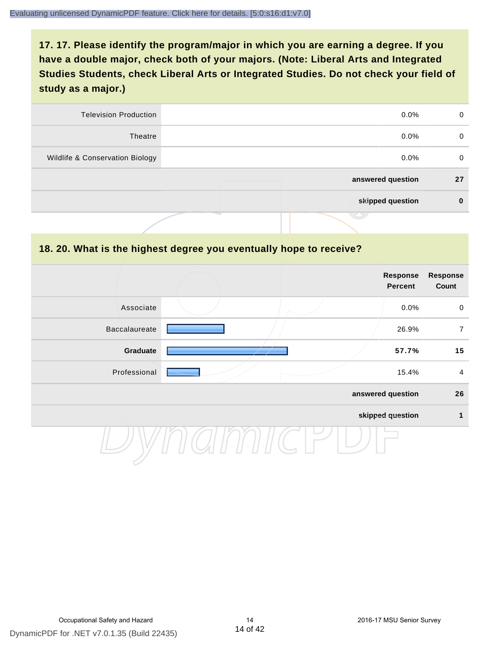| <b>Television Production</b>    | $0.0\%$           | 0  |
|---------------------------------|-------------------|----|
| Theatre                         | $0.0\%$           | 0  |
| Wildlife & Conservation Biology | $0.0\%$           | 0  |
|                                 | answered question | 27 |
|                                 | skipped question  | 0  |
|                                 | .                 |    |

#### **18. 20. What is the highest degree you eventually hope to receive?**

|               |  | Response<br>Percent | <b>Response</b><br>Count |
|---------------|--|---------------------|--------------------------|
| Associate     |  | 0.0%                | $\mathbf 0$              |
| Baccalaureate |  | 26.9%               | $\overline{7}$           |
| Graduate      |  | 57.7%               | 15                       |
| Professional  |  | 15.4%               | $\overline{4}$           |
|               |  | answered question   | 26                       |
|               |  | skipped question    | 1                        |
|               |  |                     |                          |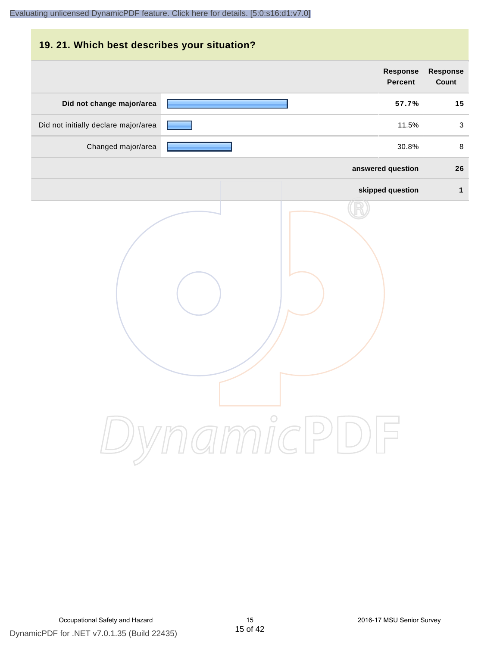# **19. 21. Which best describes your situation? Response Response Percent Count Did not change major/area 57.7% 15** Did not initially declare major/area **11.5%** 3 Changed major/area **30.8%** 8 **answered question 26 skipped question 1** DynamicPDF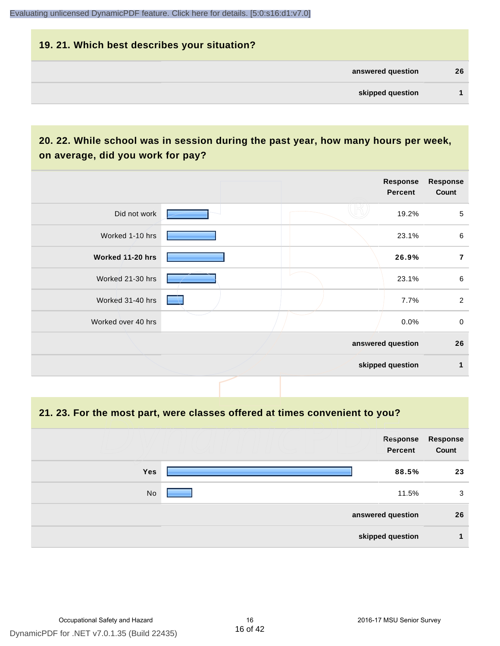# **19. 21. Which best describes your situation? answered question 26 skipped question 1**

# **20. 22. While school was in session during the past year, how many hours per week, on average, did you work for pay?**

|                    |  | Response<br>Percent | <b>Response</b><br>Count |
|--------------------|--|---------------------|--------------------------|
| Did not work       |  | 19.2%               | $\sqrt{5}$               |
| Worked 1-10 hrs    |  | 23.1%               | $\,6\,$                  |
| Worked 11-20 hrs   |  | 26.9%               | $\overline{7}$           |
| Worked 21-30 hrs   |  | 23.1%               | $\,6\,$                  |
| Worked 31-40 hrs   |  | 7.7%                | $\overline{2}$           |
| Worked over 40 hrs |  | $0.0\%$             | $\mathbf 0$              |
|                    |  | answered question   | 26                       |
|                    |  | skipped question    | 1                        |

**21. 23. For the most part, were classes offered at times convenient to you?**

|            | Response<br><b>Percent</b> | Response<br>Count |
|------------|----------------------------|-------------------|
| <b>Yes</b> | 88.5%                      | 23                |
| No         | 11.5%                      | 3                 |
|            | answered question          | 26                |
|            | skipped question           |                   |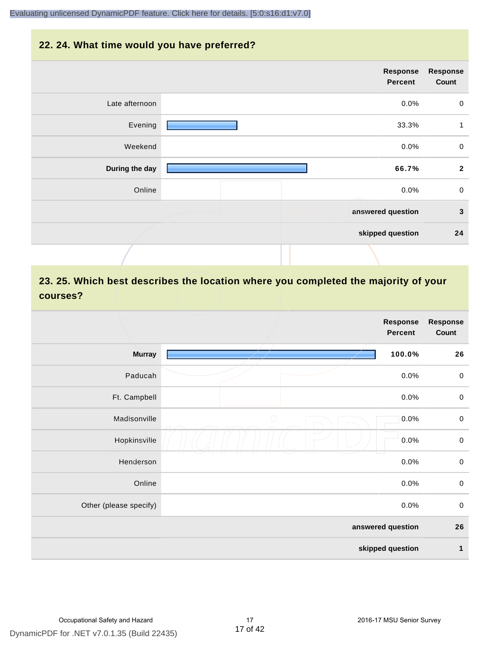#### **22. 24. What time would you have preferred?**

| <b>Response</b><br>Count | Response<br><b>Percent</b> |                |
|--------------------------|----------------------------|----------------|
| $\boldsymbol{0}$         | 0.0%                       | Late afternoon |
| $\mathbf{1}$             | 33.3%                      | Evening        |
| $\mathbf 0$              | 0.0%                       | Weekend        |
| $\mathbf{2}$             | 66.7%                      | During the day |
| $\mathbf 0$              | 0.0%                       | Online         |
| $\mathbf{3}$             | answered question          |                |
| 24                       | skipped question           |                |
|                          |                            |                |

# **23. 25. Which best describes the location where you completed the majority of your courses?**

|                        |            | <b>Response</b><br><b>Percent</b> | <b>Response</b><br>Count |
|------------------------|------------|-----------------------------------|--------------------------|
| <b>Murray</b>          |            | 100.0%                            | 26                       |
| Paducah                |            | 0.0%                              | $\pmb{0}$                |
| Ft. Campbell           |            | 0.0%                              | $\mathbf 0$              |
| Madisonville           | $\bigcirc$ | 0.0%                              | $\mathbf 0$              |
| Hopkinsville           |            | 0.0%                              | $\mathbf 0$              |
| Henderson              |            | 0.0%                              | $\mathbf 0$              |
| Online                 |            | 0.0%                              | $\pmb{0}$                |
| Other (please specify) |            | 0.0%                              | $\mathbf 0$              |
|                        |            | answered question                 | 26                       |
|                        |            | skipped question                  | $\mathbf{1}$             |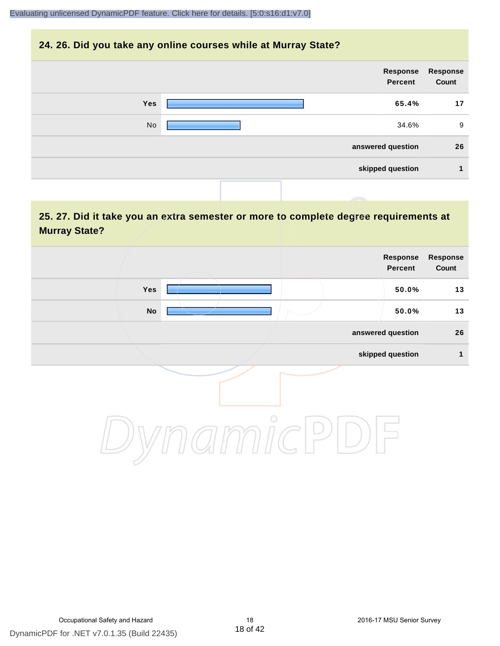#### **24. 26. Did you take any online courses while at Murray State?**

| Response<br>Count | Response<br>Percent |            |
|-------------------|---------------------|------------|
| 17                | 65.4%               | <b>Yes</b> |
| 9                 | 34.6%               | No         |
| 26                | answered question   |            |
| 1                 | skipped question    |            |
|                   |                     |            |

# **25. 27. Did it take you an extra semester or more to complete degree requirements at Murray State?**

| Response<br>Count | Response<br>Percent |         |     |  |
|-------------------|---------------------|---------|-----|--|
| 13                | 50.0%               |         | Yes |  |
| $13$              | 50.0%               |         | No  |  |
| 26                | answered question   |         |     |  |
| 1                 | skipped question    |         |     |  |
|                   |                     | $\circ$ |     |  |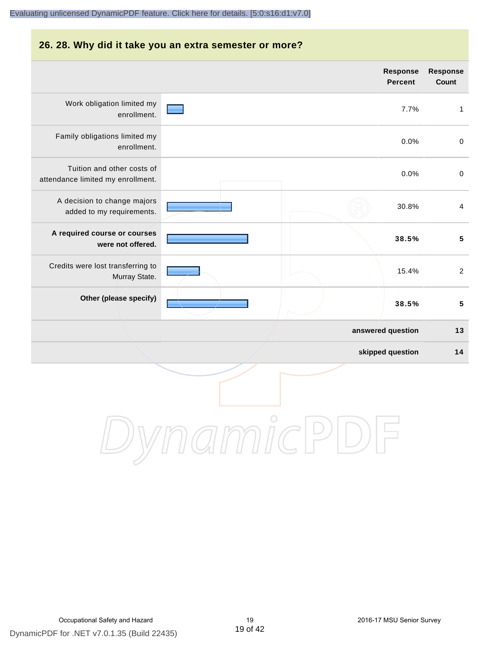# **26. 28. Why did it take you an extra semester or more? Response Response Percent Count** Work obligation limited my 7.7% 1 enrollment. Family obligations limited my 0.0% 0 enrollment. Tuition and other costs of 0.0% 0 attendance limited my enrollment. A decision to change majors 30.8% 4 added to my requirements. **A required course or courses 38.5% 5 were not offered.** Credits were lost transferring to 15.4% 2 Murray State. **Other (please specify) 38.5% 5 answered question 13 skipped question 14** DynamicPDI

# DynamicPDF for .NET v7.0.1.35 (Build 22435) Occupational Safety and Hazard 19 2016-17 MSU Senior Survey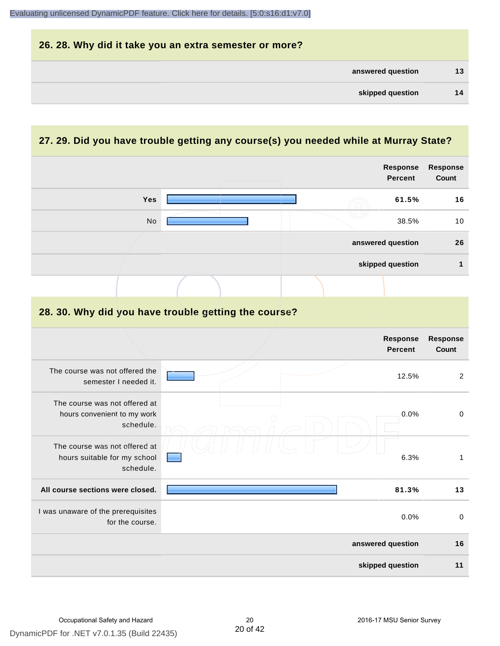| 26. 28. Why did it take you an extra semester or more? |    |
|--------------------------------------------------------|----|
| answered question                                      | 13 |
| skipped question                                       | 14 |

# **27. 29. Did you have trouble getting any course(s) you needed while at Murray State?**

|                                                                            |  |  | <b>Response</b><br><b>Percent</b> | <b>Response</b><br>Count |
|----------------------------------------------------------------------------|--|--|-----------------------------------|--------------------------|
| Yes                                                                        |  |  | 61.5%                             | 16                       |
| No.                                                                        |  |  | 38.5%                             | 10                       |
|                                                                            |  |  | answered question                 | 26                       |
|                                                                            |  |  | skipped question                  | $\mathbf{1}$             |
|                                                                            |  |  |                                   |                          |
| 28. 30. Why did you have trouble getting the course?                       |  |  |                                   |                          |
|                                                                            |  |  | <b>Response</b><br><b>Percent</b> | <b>Response</b><br>Count |
| The course was not offered the<br>semester I needed it.                    |  |  | 12.5%                             | $\overline{2}$           |
| The course was not offered at<br>hours convenient to my work<br>schedule.  |  |  | 0.0%                              | $\pmb{0}$                |
| The course was not offered at<br>hours suitable for my school<br>schedule. |  |  | 6.3%                              | $\mathbf{1}$             |
| All course sections were closed.                                           |  |  | 81.3%                             | 13                       |
| I was unaware of the prerequisites<br>for the course.                      |  |  | 0.0%                              | 0                        |
|                                                                            |  |  | answered question                 | 16                       |
|                                                                            |  |  | skipped question                  | 11                       |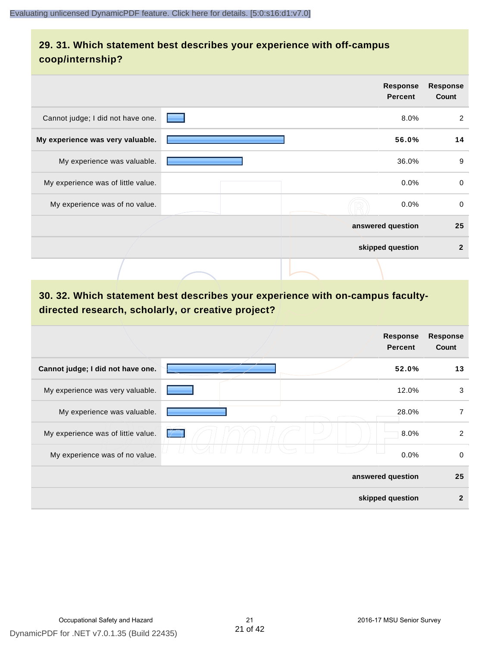# **29. 31. Which statement best describes your experience with off-campus coop/internship?**

|                                    |                                   | <b>Response</b><br><b>Percent</b> | <b>Response</b><br>Count |
|------------------------------------|-----------------------------------|-----------------------------------|--------------------------|
| Cannot judge; I did not have one.  | <b>Contract Contract Contract</b> | 8.0%                              | 2                        |
| My experience was very valuable.   |                                   | 56.0%                             | 14                       |
| My experience was valuable.        |                                   | 36.0%                             | 9                        |
| My experience was of little value. |                                   | $0.0\%$                           | $\mathbf 0$              |
| My experience was of no value.     |                                   | $0.0\%$                           | 0                        |
|                                    |                                   | answered question                 | 25                       |
|                                    |                                   | skipped question                  | $\mathbf{2}$             |
|                                    |                                   |                                   |                          |

# **30. 32. Which statement best describes your experience with on-campus facultydirected research, scholarly, or creative project?**

|                                    | Response<br><b>Percent</b> | <b>Response</b><br>Count |
|------------------------------------|----------------------------|--------------------------|
| Cannot judge; I did not have one.  | 52.0%                      | 13                       |
| My experience was very valuable.   | 12.0%                      | 3                        |
| My experience was valuable.        | 28.0%                      | 7                        |
| My experience was of little value. | 8.0%                       | $\overline{2}$           |
| My experience was of no value.     | 0.0%                       | 0                        |
|                                    | answered question          | 25                       |
|                                    | skipped question           | $\mathbf{2}$             |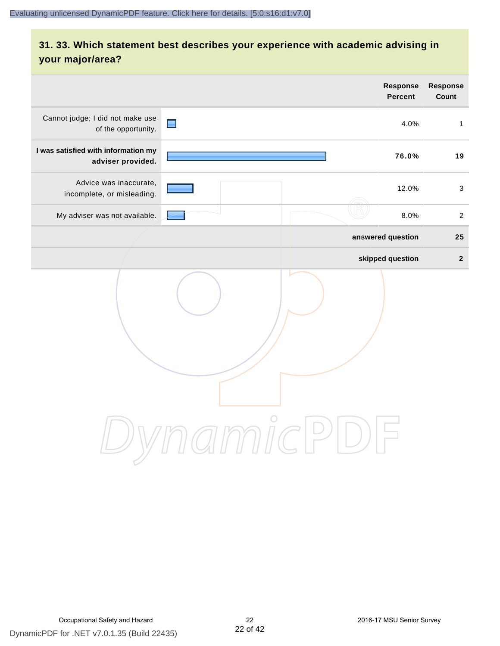# **31. 33. Which statement best describes your experience with academic advising in your major/area?**

|                                                          | <b>Response</b><br>Percent | Response<br>Count |
|----------------------------------------------------------|----------------------------|-------------------|
| Cannot judge; I did not make use<br>of the opportunity.  | $\blacksquare$<br>4.0%     | $\mathbf{1}$      |
| I was satisfied with information my<br>adviser provided. | 76.0%                      | 19                |
| Advice was inaccurate,<br>incomplete, or misleading.     | 12.0%                      | $\mathbf{3}$      |
| My adviser was not available.                            | 8.0%                       | $\overline{2}$    |
|                                                          | answered question          | 25                |
|                                                          | skipped question           | $\mathbf 2$       |
|                                                          | amicl                      |                   |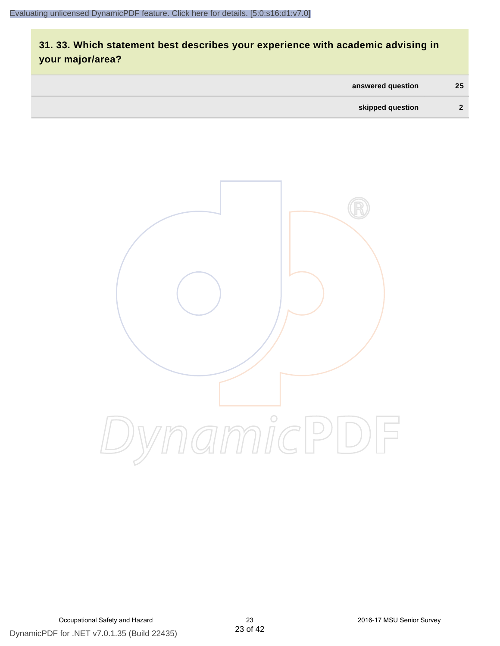# **31. 33. Which statement best describes your experience with academic advising in your major/area?**

| answered question | 25           |
|-------------------|--------------|
| skipped question  | $\mathbf{r}$ |

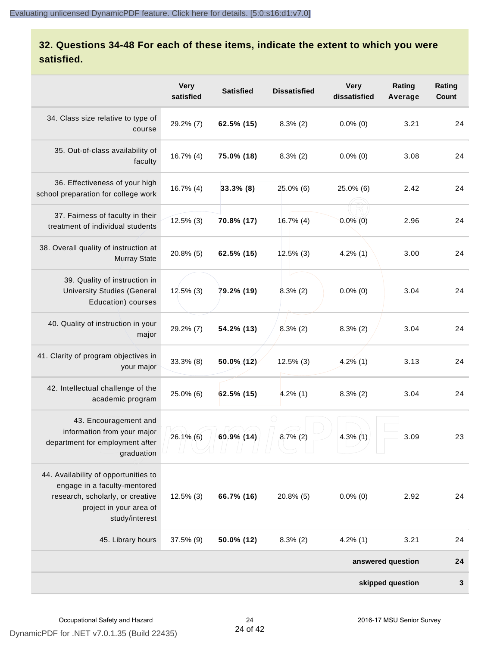# **32. Questions 34-48 For each of these items, indicate the extent to which you were satisfied.**

|                                                                                                                                                       | <b>Very</b><br>satisfied | <b>Satisfied</b> | <b>Dissatisfied</b> | <b>Very</b><br>dissatisfied | Rating<br>Average | Rating<br>Count |
|-------------------------------------------------------------------------------------------------------------------------------------------------------|--------------------------|------------------|---------------------|-----------------------------|-------------------|-----------------|
| 34. Class size relative to type of<br>course                                                                                                          | 29.2% (7)                | 62.5% (15)       | $8.3\%$ (2)         | $0.0\%$ (0)                 | 3.21              | 24              |
| 35. Out-of-class availability of<br>faculty                                                                                                           | $16.7\%$ (4)             | 75.0% (18)       | $8.3\%$ (2)         | $0.0\%$ (0)                 | 3.08              | 24              |
| 36. Effectiveness of your high<br>school preparation for college work                                                                                 | $16.7\%$ (4)             | $33.3\%$ (8)     | 25.0% (6)           | 25.0% (6)                   | 2.42              | 24              |
| 37. Fairness of faculty in their<br>treatment of individual students                                                                                  | $12.5\%$ (3)             | 70.8% (17)       | 16.7%(4)            | $0.0\%$ (0)                 | 2.96              | 24              |
| 38. Overall quality of instruction at<br><b>Murray State</b>                                                                                          | $20.8\%$ (5)             | 62.5% (15)       | $12.5\%$ (3)        | $4.2\%$ (1)                 | 3.00              | 24              |
| 39. Quality of instruction in<br><b>University Studies (General</b><br>Education) courses                                                             | $12.5\%$ (3)             | 79.2% (19)       | $8.3\%$ (2)         | $0.0\%$ (0)                 | 3.04              | 24              |
| 40. Quality of instruction in your<br>major                                                                                                           | 29.2% (7)                | 54.2% (13)       | $8.3\%$ (2)         | $8.3\%$ (2)                 | 3.04              | 24              |
| 41. Clarity of program objectives in<br>your major                                                                                                    | $33.3\%$ (8)             | 50.0% (12)       | $12.5\%$ (3)        | $4.2\%$ (1)                 | 3.13              | 24              |
| 42. Intellectual challenge of the<br>academic program                                                                                                 | 25.0% (6)                | $62.5\%$ (15)    | $4.2\%$ (1)         | $8.3\%$ (2)                 | 3.04              | 24              |
| 43. Encouragement and<br>information from your major<br>department for employment after<br>graduation                                                 | $26.1\%$ (6)             | 60.9% (14)       | $8.7\%$ (2)         | $4.3\%$ (1)                 | 3.09              | 23              |
| 44. Availability of opportunities to<br>engage in a faculty-mentored<br>research, scholarly, or creative<br>project in your area of<br>study/interest | $12.5\%$ (3)             | 66.7% (16)       | 20.8% (5)           | $0.0\%$ (0)                 | 2.92              | 24              |
| 45. Library hours                                                                                                                                     | 37.5% (9)                | 50.0% (12)       | $8.3\%$ (2)         | $4.2\%$ (1)                 | 3.21              | 24              |
|                                                                                                                                                       |                          |                  |                     |                             | answered question | 24              |
|                                                                                                                                                       |                          |                  |                     |                             | skipped question  | 3               |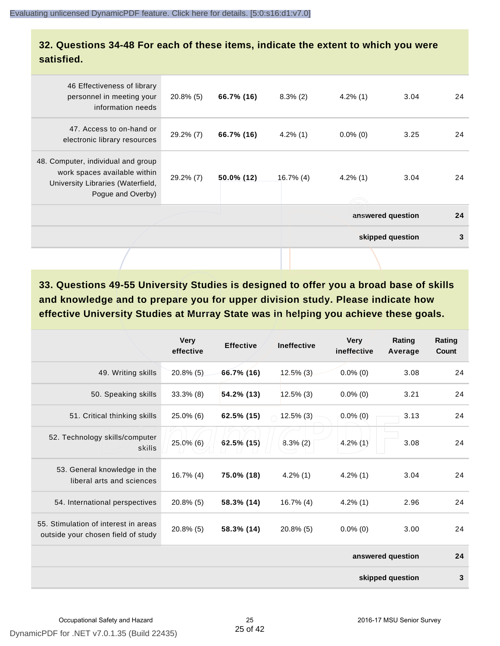## **32. Questions 34-48 For each of these items, indicate the extent to which you were satisfied.**

| 46 Effectiveness of library<br>personnel in meeting your<br>information needs                                                | $20.8\%$ (5) | 66.7% (16) | $8.3\%$ (2)  | $4.2\%$ (1) | 3.04              | 24 |
|------------------------------------------------------------------------------------------------------------------------------|--------------|------------|--------------|-------------|-------------------|----|
| 47. Access to on-hand or<br>electronic library resources                                                                     | 29.2% (7)    | 66.7% (16) | $4.2\%$ (1)  | $0.0\%$ (0) | 3.25              | 24 |
| 48. Computer, individual and group<br>work spaces available within<br>University Libraries (Waterfield,<br>Pogue and Overby) | 29.2% (7)    | 50.0% (12) | $16.7\%$ (4) | $4.2\%$ (1) | 3.04              | 24 |
|                                                                                                                              |              |            |              |             | answered question | 24 |
|                                                                                                                              |              |            |              |             | skipped question  | 3  |
|                                                                                                                              |              |            |              |             |                   |    |

**33. Questions 49-55 University Studies is designed to offer you a broad base of skills and knowledge and to prepare you for upper division study. Please indicate how effective University Studies at Murray State was in helping you achieve these goals.**

|                                                                            | <b>Very</b><br>effective | <b>Effective</b> | <b>Ineffective</b> | <b>Very</b><br>ineffective | Rating<br>Average | Rating<br>Count |  |
|----------------------------------------------------------------------------|--------------------------|------------------|--------------------|----------------------------|-------------------|-----------------|--|
| 49. Writing skills                                                         | $20.8\%$ (5)             | 66.7% (16)       | $12.5\%$ (3)       | $0.0\%$ (0)                | 3.08              | 24              |  |
| 50. Speaking skills                                                        | $33.3\%$ (8)             | 54.2% (13)       | $12.5\%$ (3)       | $0.0\%$ (0)                | 3.21              | 24              |  |
| 51. Critical thinking skills                                               | $25.0\%$ (6)             | 62.5% (15)       | $12.5\%$ (3)       | $0.0\%$ (0)                | 3.13              | 24              |  |
| 52. Technology skills/computer<br>skills                                   | 25.0% (6)                | $62.5\%$ (15)    | $8.3\%$ (2)        | $4.2\%$ (1)                | 3.08              | 24              |  |
| 53. General knowledge in the<br>liberal arts and sciences                  | $16.7\%$ (4)             | 75.0% (18)       | $4.2\%$ (1)        | $4.2\%$ (1)                | 3.04              | 24              |  |
| 54. International perspectives                                             | $20.8\%$ (5)             | 58.3% (14)       | $16.7\%$ (4)       | $4.2\%$ (1)                | 2.96              | 24              |  |
| 55. Stimulation of interest in areas<br>outside your chosen field of study | $20.8\%$ (5)             | 58.3% (14)       | $20.8\%$ (5)       | $0.0\%$ (0)                | 3.00              | 24              |  |
|                                                                            |                          |                  |                    |                            | answered question | 24              |  |
|                                                                            | skipped question         |                  |                    |                            |                   |                 |  |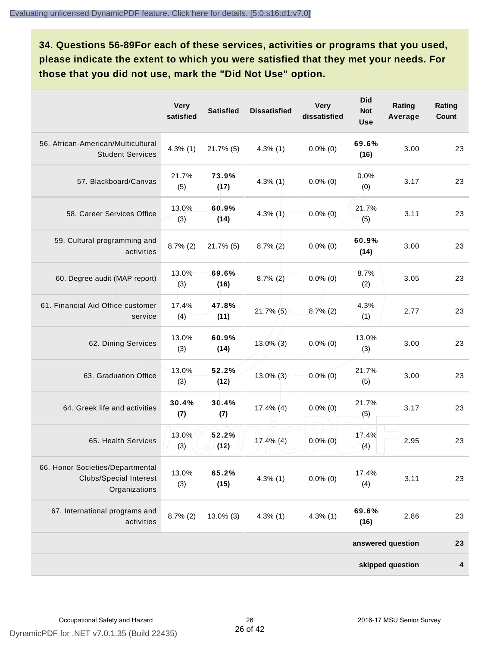**34. Questions 56-89For each of these services, activities or programs that you used, please indicate the extent to which you were satisfied that they met your needs. For those that you did not use, mark the "Did Not Use" option.**

|                                                                                    | <b>Very</b><br>satisfied | <b>Satisfied</b> | <b>Dissatisfied</b> | <b>Very</b><br>dissatisfied | <b>Did</b><br><b>Not</b><br><b>Use</b> | Rating<br>Average | Rating<br><b>Count</b> |
|------------------------------------------------------------------------------------|--------------------------|------------------|---------------------|-----------------------------|----------------------------------------|-------------------|------------------------|
| 56. African-American/Multicultural<br><b>Student Services</b>                      | $4.3\%$ (1)              | $21.7\%$ (5)     | $4.3\%$ (1)         | $0.0\%$ (0)                 | 69.6%<br>(16)                          | 3.00              | 23                     |
| 57. Blackboard/Canvas                                                              | 21.7%<br>(5)             | 73.9%<br>(17)    | $4.3\%$ (1)         | $0.0\%$ (0)                 | 0.0%<br>(0)                            | 3.17              | 23                     |
| 58. Career Services Office                                                         | 13.0%<br>(3)             | 60.9%<br>(14)    | $4.3\%$ (1)         | $0.0\%$ (0)                 | 21.7%<br>(5)                           | 3.11              | 23                     |
| 59. Cultural programming and<br>activities                                         | $8.7\%$ (2)              | $21.7\%$ (5)     | $8.7\%(2)$          | $0.0\%$ (0)                 | 60.9%<br>(14)                          | 3.00              | 23                     |
| 60. Degree audit (MAP report)                                                      | 13.0%<br>(3)             | 69.6%<br>(16)    | $8.7\%$ (2)         | $0.0\%$ (0)                 | 8.7%<br>(2)                            | 3.05              | 23                     |
| 61. Financial Aid Office customer<br>service                                       | 17.4%<br>(4)             | 47.8%<br>(11)    | $21.7\%$ (5)        | $8.7\%$ (2)                 | 4.3%<br>(1)                            | 2.77              | 23                     |
| 62. Dining Services                                                                | 13.0%<br>(3)             | 60.9%<br>(14)    | $13.0\%$ (3)        | $0.0\%$ (0)                 | 13.0%<br>(3)                           | 3.00              | 23                     |
| 63. Graduation Office                                                              | 13.0%<br>(3)             | 52.2%<br>(12)    | $13.0\%$ (3)        | $0.0\%$ (0)                 | 21.7%<br>(5)                           | 3.00              | 23                     |
| 64. Greek life and activities                                                      | 30.4%<br>(7)             | 30.4%<br>(7)     | $17.4\%$ (4)        | $0.0\%$ (0)                 | 21.7%<br>(5)                           | 3.17              | 23                     |
| 65. Health Services                                                                | 13.0%<br>(3)             | 52.2%<br>(12)    | $17.4\%$ (4)        | $0.0\%$ (0)                 | 17.4%<br>(4)                           | 2.95              | 23                     |
| 66. Honor Societies/Departmental<br><b>Clubs/Special Interest</b><br>Organizations | 13.0%<br>(3)             | 65.2%<br>(15)    | $4.3\%$ (1)         | $0.0\%$ (0)                 | 17.4%<br>(4)                           | 3.11              | 23                     |
| 67. International programs and<br>activities                                       | $8.7\%$ (2)              | 13.0% (3)        | $4.3\%$ (1)         | $4.3\%$ (1)                 | 69.6%<br>(16)                          | 2.86              | 23                     |
|                                                                                    |                          |                  |                     |                             |                                        | answered question | 23                     |
|                                                                                    |                          |                  |                     |                             |                                        | skipped question  | 4                      |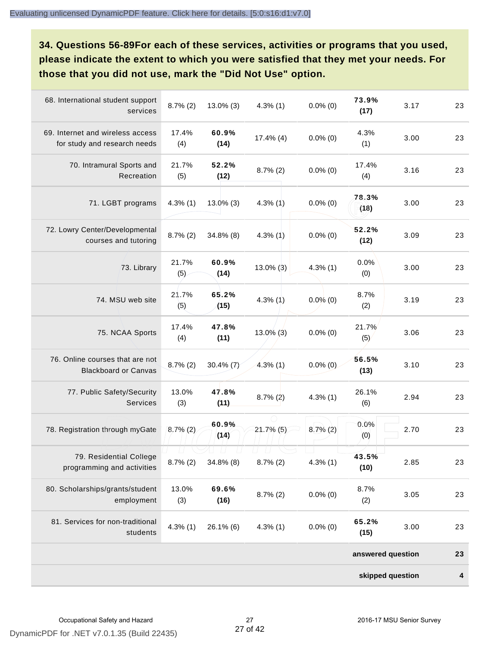**34. Questions 56-89For each of these services, activities or programs that you used, please indicate the extent to which you were satisfied that they met your needs. For those that you did not use, mark the "Did Not Use" option.**

| 68. International student support<br>services                    | $8.7\%$ (2)  | $13.0\%$ (3)  | $4.3\%$ (1)                       | $0.0\%$ (0) | 73.9%<br>(17)     | 3.17 | 23 |  |
|------------------------------------------------------------------|--------------|---------------|-----------------------------------|-------------|-------------------|------|----|--|
| 69. Internet and wireless access<br>for study and research needs | 17.4%<br>(4) | 60.9%<br>(14) | $17.4\%$ (4)                      | $0.0\%$ (0) | 4.3%<br>(1)       | 3.00 | 23 |  |
| 70. Intramural Sports and<br>Recreation                          | 21.7%<br>(5) | 52.2%<br>(12) | $8.7\%$ (2)                       | $0.0\%$ (0) | 17.4%<br>(4)      | 3.16 | 23 |  |
| 71. LGBT programs                                                | $4.3\%$ (1)  | $13.0\%$ (3)  | $4.3\%$ (1)                       | $0.0\%$ (0) | 78.3%<br>(18)     | 3.00 | 23 |  |
| 72. Lowry Center/Developmental<br>courses and tutoring           | $8.7\%$ (2)  | 34.8% (8)     | $4.3\%$ (1)                       | $0.0\%$ (0) | 52.2%<br>(12)     | 3.09 | 23 |  |
| 73. Library                                                      | 21.7%<br>(5) | 60.9%<br>(14) | $13.0\%$ (3)                      | $4.3\%$ (1) | 0.0%<br>(0)       | 3.00 | 23 |  |
| 74. MSU web site                                                 | 21.7%<br>(5) | 65.2%<br>(15) | $4.3\%$ (1)                       | $0.0\%$ (0) | 8.7%<br>(2)       | 3.19 | 23 |  |
| 75. NCAA Sports                                                  | 17.4%<br>(4) | 47.8%<br>(11) | $13.0\%$ (3)                      | $0.0\%$ (0) | 21.7%<br>(5)      | 3.06 | 23 |  |
| 76. Online courses that are not<br><b>Blackboard or Canvas</b>   | $8.7\%$ (2)  | 30.4% $(7)$   | $4.3\%$ (1)                       | $0.0\%$ (0) | 56.5%<br>(13)     | 3.10 | 23 |  |
| 77. Public Safety/Security<br>Services                           | 13.0%<br>(3) | 47.8%<br>(11) | $8.7\%(2)$                        | $4.3\%$ (1) | 26.1%<br>(6)      | 2.94 | 23 |  |
| 78. Registration through myGate                                  | $8.7\%$ (2)  | 60.9%<br>(14) | $21.7\%$ (5)                      | $8.7\%$ (2) | 0.0%<br>(0)       | 2.70 | 23 |  |
| 79. Residential College<br>programming and activities            | $8.7\%$ (2)  | 34.8% (8)     | $\left  \ \right $<br>$8.7\%$ (2) | $4.3\%$ (1) | 43.5%<br>(10)     | 2.85 | 23 |  |
| 80. Scholarships/grants/student<br>employment                    | 13.0%<br>(3) | 69.6%<br>(16) | $8.7\%$ (2)                       | $0.0\%$ (0) | 8.7%<br>(2)       | 3.05 | 23 |  |
| 81. Services for non-traditional<br>students                     | $4.3\%$ (1)  | 26.1% (6)     | $4.3\%$ (1)                       | $0.0\%$ (0) | 65.2%<br>(15)     | 3.00 | 23 |  |
|                                                                  |              |               |                                   |             | answered question |      | 23 |  |
| skipped question                                                 |              |               |                                   |             |                   |      |    |  |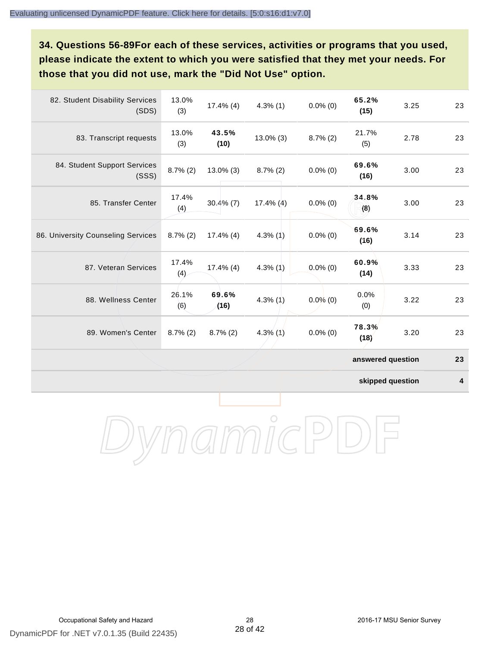**34. Questions 56-89For each of these services, activities or programs that you used, please indicate the extent to which you were satisfied that they met your needs. For those that you did not use, mark the "Did Not Use" option.**

| 82. Student Disability Services<br>(SDS) | 13.0%<br>(3) | $17.4\%$ (4)  | $4.3\%$ (1)  | $0.0\%$ (0) | 65.2%<br>(15)     | 3.25 | 23 |
|------------------------------------------|--------------|---------------|--------------|-------------|-------------------|------|----|
| 83. Transcript requests                  | 13.0%<br>(3) | 43.5%<br>(10) | $13.0\%$ (3) | $8.7\%$ (2) | 21.7%<br>(5)      | 2.78 | 23 |
| 84. Student Support Services<br>(SSS)    | $8.7\%$ (2)  | $13.0\%$ (3)  | $8.7\%$ (2)  | $0.0\%$ (0) | 69.6%<br>(16)     | 3.00 | 23 |
| 85. Transfer Center                      | 17.4%<br>(4) | $30.4\%$ (7)  | $17.4\%$ (4) | $0.0\%$ (0) | 34.8%<br>(8)      | 3.00 | 23 |
| 86. University Counseling Services       | $8.7\%$ (2)  | $17.4\%$ (4)  | $4.3\%$ (1)  | $0.0\%$ (0) | 69.6%<br>(16)     | 3.14 | 23 |
| 87. Veteran Services                     | 17.4%<br>(4) | $17.4\%$ (4)  | 4.3%(1)      | $0.0\%$ (0) | 60.9%<br>(14)     | 3.33 | 23 |
| 88. Wellness Center                      | 26.1%<br>(6) | 69.6%<br>(16) | $4.3\%$ (1)  | $0.0\%$ (0) | 0.0%<br>(0)       | 3.22 | 23 |
| 89. Women's Center                       | $8.7\%$ (2)  | $8.7\%$ (2)   | $4.3\%$ (1)  | $0.0\%$ (0) | 78.3%<br>(18)     | 3.20 | 23 |
|                                          |              |               |              |             | answered question |      | 23 |

**skipped question 4**

DynamicPDF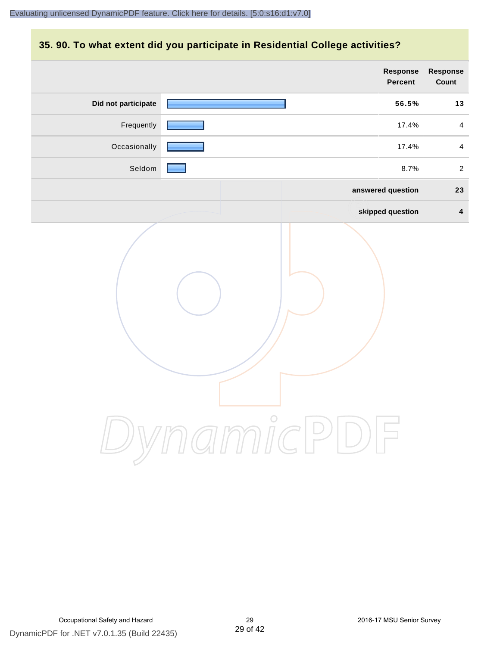## **35. 90. To what extent did you participate in Residential College activities?**

|                     | Response<br>Percent | Response<br>Count       |
|---------------------|---------------------|-------------------------|
| Did not participate | 56.5%               | 13                      |
| Frequently          | 17.4%               | $\overline{4}$          |
| Occasionally        | 17.4%               | $\overline{4}$          |
| Seldom              | 8.7%                | $\overline{2}$          |
|                     | answered question   | 23                      |
|                     | skipped question    | $\overline{\mathbf{4}}$ |
|                     | ynamicPl<br>$\Box$  |                         |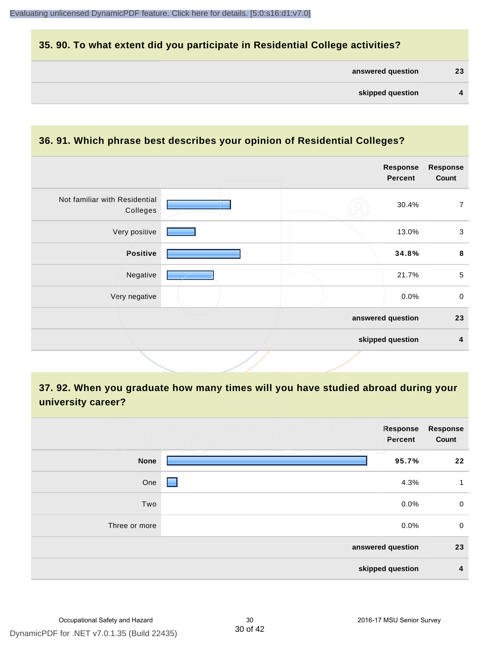## **35. 90. To what extent did you participate in Residential College activities?**

| answered question |
|-------------------|
|-------------------|

#### **36. 91. Which phrase best describes your opinion of Residential Colleges?**

| Not familiar with Residential<br>30.4%<br>7<br>Colleges<br>Very positive<br>13.0%<br>3<br>Positive<br>$\bf8$<br>34.8%<br>$\sqrt{5}$<br>Negative<br>21.7%<br>$\mathbf 0$<br>Very negative<br>0.0%<br>answered question<br>23<br>skipped question<br>4 |  | <b>Response</b><br><b>Percent</b> | <b>Response</b><br>Count |
|------------------------------------------------------------------------------------------------------------------------------------------------------------------------------------------------------------------------------------------------------|--|-----------------------------------|--------------------------|
|                                                                                                                                                                                                                                                      |  |                                   |                          |
|                                                                                                                                                                                                                                                      |  |                                   |                          |
|                                                                                                                                                                                                                                                      |  |                                   |                          |
|                                                                                                                                                                                                                                                      |  |                                   |                          |
|                                                                                                                                                                                                                                                      |  |                                   |                          |
|                                                                                                                                                                                                                                                      |  |                                   |                          |
|                                                                                                                                                                                                                                                      |  |                                   |                          |

**37. 92. When you graduate how many times will you have studied abroad during your university career?**

|               | Response<br>Percent  | <b>Response</b><br>Count |
|---------------|----------------------|--------------------------|
| <b>None</b>   | - 1 - 1 - 1<br>95.7% | 22                       |
| One           | 4.3%                 | 1                        |
| Two           | 0.0%                 | $\mathbf 0$              |
| Three or more | $0.0\%$              | $\mathbf 0$              |
|               | answered question    | 23                       |
|               | skipped question     | 4                        |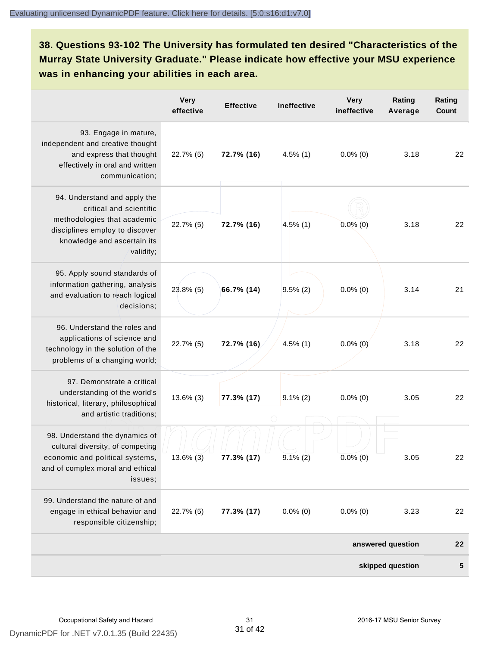**38. Questions 93-102 The University has formulated ten desired "Characteristics of the Murray State University Graduate." Please indicate how effective your MSU experience was in enhancing your abilities in each area.**

|                                                                                                                                                                      | <b>Very</b><br>effective | <b>Effective</b> | <b>Ineffective</b> | <b>Very</b><br>ineffective | Rating<br>Average | Rating<br>Count |
|----------------------------------------------------------------------------------------------------------------------------------------------------------------------|--------------------------|------------------|--------------------|----------------------------|-------------------|-----------------|
| 93. Engage in mature,<br>independent and creative thought<br>and express that thought<br>effectively in oral and written<br>communication;                           | 22.7% (5)                | 72.7% (16)       | $4.5\%$ (1)        | $0.0\%$ (0)                | 3.18              | 22              |
| 94. Understand and apply the<br>critical and scientific<br>methodologies that academic<br>disciplines employ to discover<br>knowledge and ascertain its<br>validity; | 22.7% (5)                | 72.7% (16)       | $4.5\%$ (1)        | $0.0\%$ (0)                | 3.18              | 22              |
| 95. Apply sound standards of<br>information gathering, analysis<br>and evaluation to reach logical<br>decisions;                                                     | 23.8% (5)                | 66.7% (14)       | $9.5\%$ (2)        | $0.0\%$ (0)                | 3.14              | 21              |
| 96. Understand the roles and<br>applications of science and<br>technology in the solution of the<br>problems of a changing world;                                    | 22.7% (5)                | 72.7% (16)       | $4.5\%$ (1)        | $0.0\%$ (0)                | 3.18              | 22              |
| 97. Demonstrate a critical<br>understanding of the world's<br>historical, literary, philosophical<br>and artistic traditions;                                        | $13.6\%$ (3)             | 77.3% (17)       | $9.1\%(2)$         | $0.0\%$ (0)                | 3.05              | 22              |
| 98. Understand the dynamics of<br>cultural diversity, of competing<br>economic and political systems,<br>and of complex moral and ethical<br>issues;                 | $13.6\%$ (3)             | 77.3% (17)       | $9.1\% (2)$        | $0.0\%$ (0)                | 3.05              | 22              |
| 99. Understand the nature of and<br>engage in ethical behavior and<br>responsible citizenship;                                                                       | 22.7% (5)                | 77.3% (17)       | $0.0\%$ (0)        | $0.0\%$ (0)                | 3.23              | 22              |
|                                                                                                                                                                      |                          |                  |                    |                            | answered question | 22              |
|                                                                                                                                                                      |                          |                  |                    |                            | skipped question  | 5               |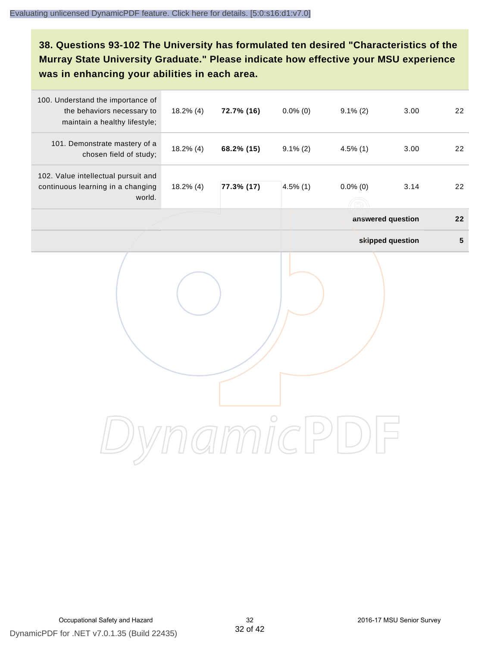# **38. Questions 93-102 The University has formulated ten desired "Characteristics of the Murray State University Graduate." Please indicate how effective your MSU experience was in enhancing your abilities in each area.**

| 100. Understand the importance of<br>the behaviors necessary to<br>maintain a healthy lifestyle; | $18.2\%$ (4) | 72.7% (16) | $0.0\%$ (0) | $9.1\% (2)$ | 3.00              | 22        |
|--------------------------------------------------------------------------------------------------|--------------|------------|-------------|-------------|-------------------|-----------|
| 101. Demonstrate mastery of a<br>chosen field of study;                                          | $18.2\%$ (4) | 68.2% (15) | $9.1\% (2)$ | $4.5\%$ (1) | 3.00              | 22        |
| 102. Value intellectual pursuit and<br>continuous learning in a changing<br>world.               | $18.2\%$ (4) | 77.3% (17) | $4.5\%$ (1) | $0.0\%$ (0) | 3.14              | 22        |
|                                                                                                  |              |            |             |             | answered question | 22        |
|                                                                                                  |              |            |             |             | skipped question  | ${\bf 5}$ |
|                                                                                                  |              |            |             |             |                   |           |
|                                                                                                  |              |            |             |             |                   |           |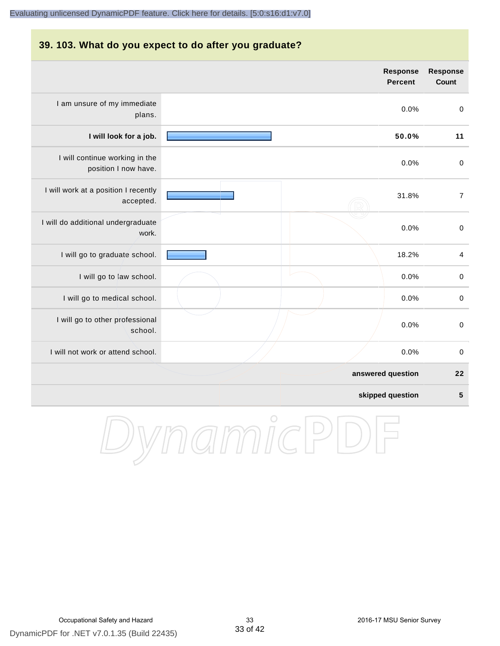#### **39. 103. What do you expect to do after you graduate?**

|                                                        | <b>Response</b><br><b>Percent</b> | <b>Response</b><br>Count |
|--------------------------------------------------------|-----------------------------------|--------------------------|
| I am unsure of my immediate<br>plans.                  | 0.0%                              | $\mathbf 0$              |
| I will look for a job.                                 | 50.0%                             | 11                       |
| I will continue working in the<br>position I now have. | 0.0%                              | $\pmb{0}$                |
| I will work at a position I recently<br>accepted.      | 31.8%                             | $\overline{7}$           |
| I will do additional undergraduate<br>work.            | 0.0%                              | $\pmb{0}$                |
| I will go to graduate school.                          | 18.2%                             | 4                        |
| I will go to law school.                               | 0.0%                              | $\mathbf 0$              |
| I will go to medical school.                           | 0.0%                              | $\mathbf 0$              |
| I will go to other professional<br>school.             | 0.0%                              | $\mathbf 0$              |
| I will not work or attend school.                      | 0.0%                              | $\pmb{0}$                |
|                                                        | answered question                 | 22                       |
|                                                        | skipped question                  | $5\phantom{1}$           |

DynamicPDF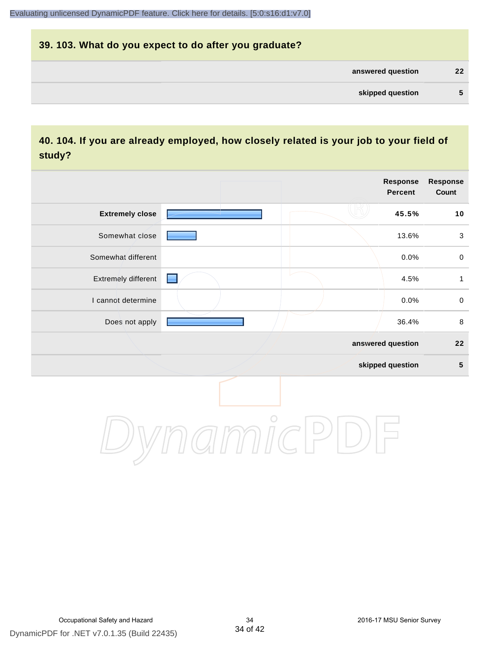# **39. 103. What do you expect to do after you graduate? answered question 22 skipped question 5**

# **40. 104. If you are already employed, how closely related is your job to your field of study?**

|                        |            | <b>Response</b><br><b>Percent</b> | Response<br>Count |
|------------------------|------------|-----------------------------------|-------------------|
| <b>Extremely close</b> |            | 45.5%                             | 10                |
| Somewhat close         |            | 13.6%                             | $\sqrt{3}$        |
| Somewhat different     |            | 0.0%                              | $\pmb{0}$         |
| Extremely different    |            | 4.5%                              | $\mathbf{1}$      |
| I cannot determine     |            | 0.0%                              | $\pmb{0}$         |
| Does not apply         |            | 36.4%                             | $\,8\,$           |
|                        |            | answered question                 | 22                |
|                        |            | skipped question                  | ${\bf 5}$         |
|                        | $\bigcirc$ |                                   |                   |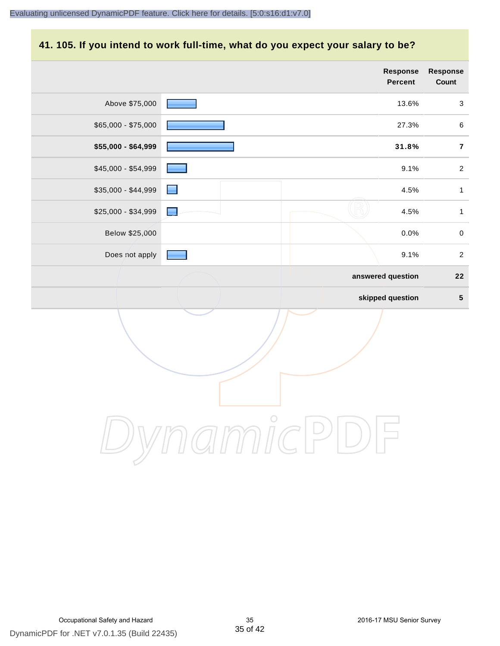### **41. 105. If you intend to work full-time, what do you expect your salary to be?**

|                     |                | <b>Response</b><br>Percent | <b>Response</b><br>Count |
|---------------------|----------------|----------------------------|--------------------------|
| Above \$75,000      |                | 13.6%                      | $\sqrt{3}$               |
| $$65,000 - $75,000$ |                | 27.3%                      | $\,6\,$                  |
| \$55,000 - \$64,999 |                | 31.8%                      | $\overline{7}$           |
| \$45,000 - \$54,999 |                | 9.1%                       | $\overline{c}$           |
| \$35,000 - \$44,999 | ۰              | 4.5%                       | $\mathbf{1}$             |
| \$25,000 - \$34,999 | $\blacksquare$ | 4.5%                       | $\mathbf{1}$             |
| Below \$25,000      |                | 0.0%                       | $\pmb{0}$                |
| Does not apply      |                | 9.1%                       | $\boldsymbol{2}$         |
|                     |                | answered question          | ${\bf 22}$               |
|                     |                | skipped question           | $\sqrt{5}$               |
|                     |                |                            |                          |
|                     | $\bigcirc$     |                            |                          |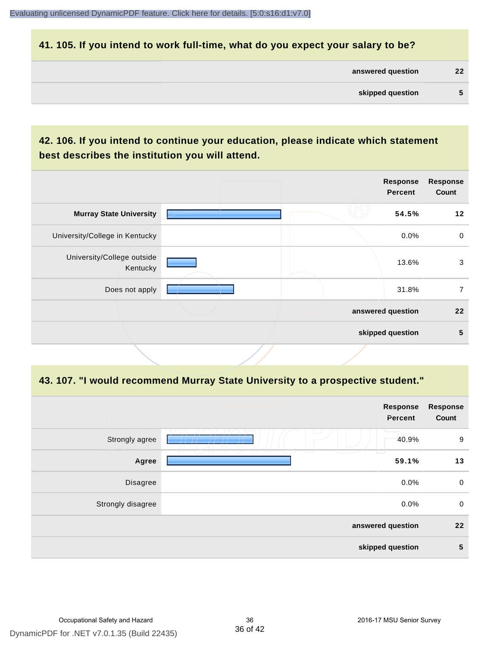#### **41. 105. If you intend to work full-time, what do you expect your salary to be?**

| answered question | 22 |
|-------------------|----|
|                   |    |

| skipped question |  |
|------------------|--|
|                  |  |

# **42. 106. If you intend to continue your education, please indicate which statement best describes the institution you will attend.**

|                                        |  | <b>Response</b><br><b>Percent</b> | <b>Response</b><br>Count |
|----------------------------------------|--|-----------------------------------|--------------------------|
| <b>Murray State University</b>         |  | 54.5%                             | 12                       |
| University/College in Kentucky         |  | $0.0\%$                           | $\mathbf 0$              |
| University/College outside<br>Kentucky |  | 13.6%                             | 3                        |
| Does not apply                         |  | 31.8%                             | 7                        |
|                                        |  | answered question                 | $22 \overline{ }$        |
|                                        |  | skipped question                  | 5                        |
|                                        |  |                                   |                          |

#### **43. 107. "I would recommend Murray State University to a prospective student."**

| <b>Response</b><br>Count | <b>Response</b><br>Percent |                               |                   |
|--------------------------|----------------------------|-------------------------------|-------------------|
| 9                        | 40.9%<br>--                |                               | Strongly agree    |
| 13                       | 59.1%                      | □<br>T<br>U<br>$\overline{a}$ | Agree             |
| $\mathbf 0$              | 0.0%                       |                               | Disagree          |
| $\mathbf 0$              | 0.0%                       |                               | Strongly disagree |
| 22                       | answered question          |                               |                   |
| $5\phantom{1}$           | skipped question           |                               |                   |
|                          |                            |                               |                   |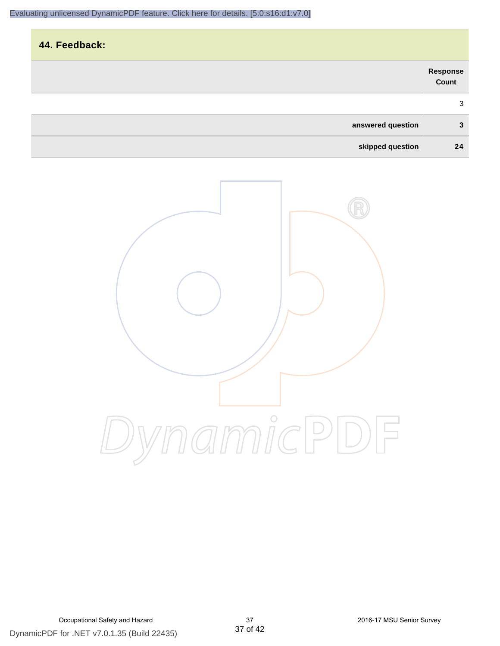| 44. Feedback:     |                           |
|-------------------|---------------------------|
|                   | <b>Response<br/>Count</b> |
|                   | 3                         |
| answered question | 3                         |
| skipped question  | 24                        |

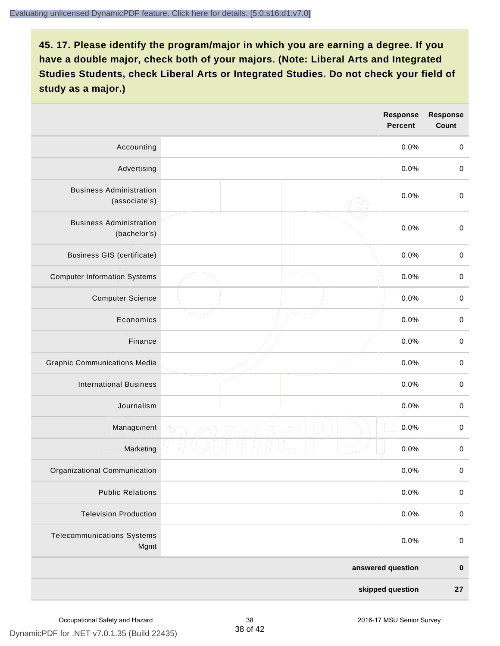|                                                 |  | <b>Response</b><br><b>Percent</b> | <b>Response</b><br>Count |
|-------------------------------------------------|--|-----------------------------------|--------------------------|
| Accounting                                      |  | 0.0%                              | $\mathbf 0$              |
| Advertising                                     |  | 0.0%                              | $\pmb{0}$                |
| <b>Business Administration</b><br>(associate's) |  | 0.0%                              | $\pmb{0}$                |
| <b>Business Administration</b><br>(bachelor's)  |  | 0.0%                              | $\pmb{0}$                |
| <b>Business GIS (certificate)</b>               |  | 0.0%                              | $\mathbf 0$              |
| <b>Computer Information Systems</b>             |  | 0.0%                              | $\pmb{0}$                |
| <b>Computer Science</b>                         |  | 0.0%                              | $\mathbf 0$              |
| Economics                                       |  | 0.0%                              | $\pmb{0}$                |
| Finance                                         |  | 0.0%                              | $\pmb{0}$                |
| <b>Graphic Communications Media</b>             |  | 0.0%                              | $\mathbf 0$              |
| <b>International Business</b>                   |  | 0.0%                              | $\pmb{0}$                |
| Journalism                                      |  | 0.0%                              | $\mathbf 0$              |
| Management                                      |  | 0.0%                              | $\pmb{0}$                |
| Marketing                                       |  | 0.0%                              | $\,0\,$                  |
| Organizational Communication                    |  | 0.0%                              | $\pmb{0}$                |
| <b>Public Relations</b>                         |  | 0.0%                              | $\mathbf 0$              |
| <b>Television Production</b>                    |  | 0.0%                              | $\mathsf 0$              |
| <b>Telecommunications Systems</b><br>Mgmt       |  | 0.0%                              | $\mathbf 0$              |
| answered question                               |  | $\pmb{0}$                         |                          |
| skipped question                                |  | 27                                |                          |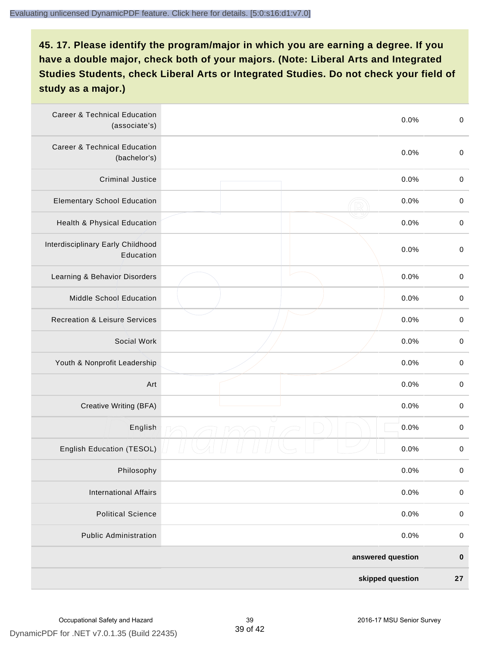| <b>Career &amp; Technical Education</b><br>(associate's) | 0.0%              | $\pmb{0}$   |
|----------------------------------------------------------|-------------------|-------------|
| <b>Career &amp; Technical Education</b><br>(bachelor's)  | 0.0%              | $\mathbf 0$ |
| <b>Criminal Justice</b>                                  | 0.0%              | $\pmb{0}$   |
| <b>Elementary School Education</b>                       | 0.0%              | $\pmb{0}$   |
| Health & Physical Education                              | 0.0%              | $\pmb{0}$   |
| Interdisciplinary Early Childhood<br>Education           | 0.0%              | $\pmb{0}$   |
| Learning & Behavior Disorders                            | 0.0%              | $\pmb{0}$   |
| <b>Middle School Education</b>                           | 0.0%              | $\mathbf 0$ |
| <b>Recreation &amp; Leisure Services</b>                 | 0.0%              | $\mathbf 0$ |
| Social Work                                              | 0.0%              | $\mathbf 0$ |
| Youth & Nonprofit Leadership                             | 0.0%              | $\mathbf 0$ |
| Art                                                      | 0.0%              | $\pmb{0}$   |
| Creative Writing (BFA)                                   | 0.0%              | $\pmb{0}$   |
| English                                                  | 0.0%              | $\pmb{0}$   |
| English Education (TESOL)                                | 0.0%              | $\pmb{0}$   |
| Philosophy                                               | 0.0%              | 0           |
| <b>International Affairs</b>                             | 0.0%              | $\pmb{0}$   |
| <b>Political Science</b>                                 | 0.0%              | $\mathbf 0$ |
| <b>Public Administration</b>                             | 0.0%              | $\mathbf 0$ |
|                                                          | answered question | $\pmb{0}$   |
|                                                          | skipped question  | 27          |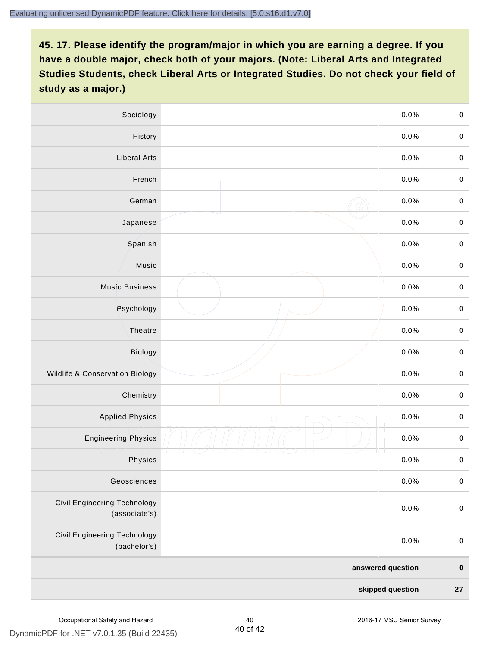| Sociology                                            |                   | 0.0%<br>$\mathbf 0$    |
|------------------------------------------------------|-------------------|------------------------|
| History                                              |                   | $0.0\%$<br>$\mathbf 0$ |
| <b>Liberal Arts</b>                                  |                   | 0.0%<br>$\mathbf 0$    |
| French                                               |                   | 0.0%<br>$\pmb{0}$      |
| German                                               |                   | 0.0%<br>$\mathbf 0$    |
| Japanese                                             |                   | 0.0%<br>$\mathbf 0$    |
| Spanish                                              |                   | 0.0%<br>$\mathbf 0$    |
| Music                                                |                   | 0.0%<br>$\mathbf 0$    |
| <b>Music Business</b>                                |                   | $\pmb{0}$<br>0.0%      |
| Psychology                                           |                   | 0.0%<br>$\mathbf 0$    |
| Theatre                                              |                   | 0.0%<br>$\mathbf 0$    |
| Biology                                              |                   | 0.0%<br>$\mathbf 0$    |
| Wildlife & Conservation Biology                      |                   | 0.0%<br>$\mathbf 0$    |
| Chemistry                                            |                   | 0.0%<br>$\pmb{0}$      |
| <b>Applied Physics</b>                               | $\bigcirc$        | 0.0%<br>$\mathbf 0$    |
| <b>Engineering Physics</b>                           |                   | 0.0%<br>$\mathbf 0$    |
| Physics                                              |                   | 0.0%<br>$\mathbf 0$    |
| Geosciences                                          |                   | 0.0%<br>$\mathbf 0$    |
| <b>Civil Engineering Technology</b><br>(associate's) |                   | 0.0%<br>$\pmb{0}$      |
| Civil Engineering Technology<br>(bachelor's)         |                   | 0.0%<br>$\pmb{0}$      |
|                                                      | answered question | $\pmb{0}$              |
|                                                      | skipped question  | 27                     |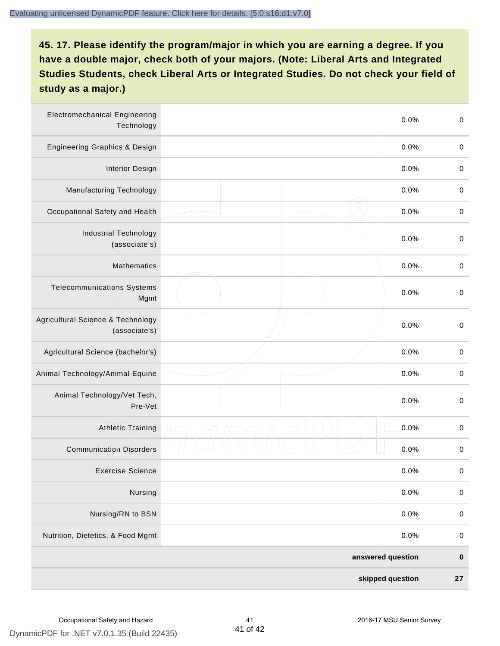| <b>Electromechanical Engineering</b><br>Technology | 0.0%              | $\mathbf 0$ |
|----------------------------------------------------|-------------------|-------------|
| <b>Engineering Graphics &amp; Design</b>           | 0.0%              | $\mathbf 0$ |
| <b>Interior Design</b>                             | 0.0%              | $\pmb{0}$   |
| Manufacturing Technology                           | 0.0%              | 0           |
| Occupational Safety and Health                     | 0.0%              | $\pmb{0}$   |
| <b>Industrial Technology</b><br>(associate's)      | 0.0%              | $\pmb{0}$   |
| <b>Mathematics</b>                                 | 0.0%              | $\pmb{0}$   |
| <b>Telecommunications Systems</b><br>Mgmt          | 0.0%              | $\pmb{0}$   |
| Agricultural Science & Technology<br>(associate's) | 0.0%              | $\mathbf 0$ |
| Agricultural Science (bachelor's)                  | 0.0%              | $\mathbf 0$ |
| Animal Technology/Animal-Equine                    | 0.0%              | $\pmb{0}$   |
| Animal Technology/Vet Tech,<br>Pre-Vet             | 0.0%              | $\pmb{0}$   |
| <b>Athletic Training</b>                           | 0.0%              | $\pmb{0}$   |
| <b>Communication Disorders</b>                     | 0.0%              | 0           |
| <b>Exercise Science</b>                            | 0.0%              | $\pmb{0}$   |
| Nursing                                            | 0.0%              | $\pmb{0}$   |
| Nursing/RN to BSN                                  | 0.0%              | $\pmb{0}$   |
| Nutrition, Dietetics, & Food Mgmt                  | 0.0%              | $\mathbf 0$ |
|                                                    | answered question | $\pmb{0}$   |
|                                                    | skipped question  | ${\bf 27}$  |